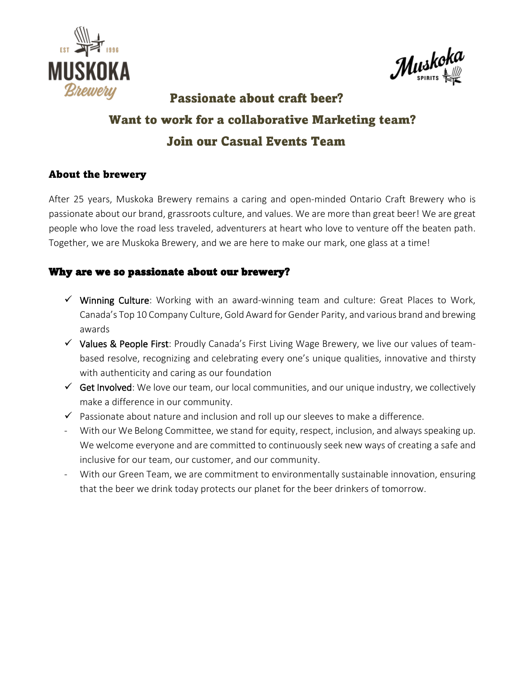



# Passionate about craft beer? Want to work for a collaborative Marketing team? **Join our Casual Events Team**

## About the brewery

After 25 years, Muskoka Brewery remains a caring and open-minded Ontario Craft Brewery who is passionate about our brand, grassroots culture, and values. We are more than great beer! We are great people who love the road less traveled, adventurers at heart who love to venture off the beaten path. Together, we are Muskoka Brewery, and we are here to make our mark, one glass at a time!

## Why are we so passionate about our brewery?

- ✓ Winning Culture: Working with an award-winning team and culture: Great Places to Work, Canada's Top 10 Company Culture, Gold Award for Gender Parity, and various brand and brewing awards
- $\checkmark$  Values & People First: Proudly Canada's First Living Wage Brewery, we live our values of teambased resolve, recognizing and celebrating every one's unique qualities, innovative and thirsty with authenticity and caring as our foundation
- $\checkmark$  Get Involved: We love our team, our local communities, and our unique industry, we collectively make a difference in our community.
- $\checkmark$  Passionate about nature and inclusion and roll up our sleeves to make a difference.
- With our We Belong Committee, we stand for equity, respect, inclusion, and always speaking up. We welcome everyone and are committed to continuously seek new ways of creating a safe and inclusive for our team, our customer, and our community.
- With our Green Team, we are commitment to environmentally sustainable innovation, ensuring that the beer we drink today protects our planet for the beer drinkers of tomorrow.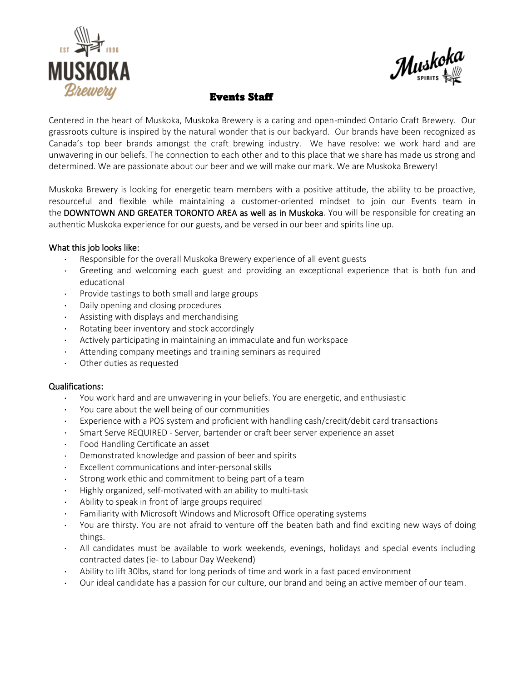



### Events Staff

Centered in the heart of Muskoka, Muskoka Brewery is a caring and open-minded Ontario Craft Brewery. Our grassroots culture is inspired by the natural wonder that is our backyard. Our brands have been recognized as Canada's top beer brands amongst the craft brewing industry. We have resolve: we work hard and are unwavering in our beliefs. The connection to each other and to this place that we share has made us strong and determined. We are passionate about our beer and we will make our mark. We are Muskoka Brewery!

Muskoka Brewery is looking for energetic team members with a positive attitude, the ability to be proactive, resourceful and flexible while maintaining a customer-oriented mindset to join our Events team in the DOWNTOWN AND GREATER TORONTO AREA as well as in Muskoka. You will be responsible for creating an authentic Muskoka experience for our guests, and be versed in our beer and spirits line up.

#### What this job looks like:

- · Responsible for the overall Muskoka Brewery experience of all event guests
- Greeting and welcoming each guest and providing an exceptional experience that is both fun and educational
- · Provide tastings to both small and large groups
- · Daily opening and closing procedures
- Assisting with displays and merchandising
- Rotating beer inventory and stock accordingly
- Actively participating in maintaining an immaculate and fun workspace
- · Attending company meetings and training seminars as required
- · Other duties as requested

#### Qualifications:

- · You work hard and are unwavering in your beliefs. You are energetic, and enthusiastic
- You care about the well being of our communities
- Experience with a POS system and proficient with handling cash/credit/debit card transactions
- · Smart Serve REQUIRED Server, bartender or craft beer server experience an asset
- Food Handling Certificate an asset
- Demonstrated knowledge and passion of beer and spirits
- Excellent communications and inter-personal skills
- · Strong work ethic and commitment to being part of a team
- · Highly organized, self-motivated with an ability to multi-task
- · Ability to speak in front of large groups required
- Familiarity with Microsoft Windows and Microsoft Office operating systems
- · You are thirsty. You are not afraid to venture off the beaten bath and find exciting new ways of doing things.
- · All candidates must be available to work weekends, evenings, holidays and special events including contracted dates (ie- to Labour Day Weekend)
- · Ability to lift 30lbs, stand for long periods of time and work in a fast paced environment
- Our ideal candidate has a passion for our culture, our brand and being an active member of our team.